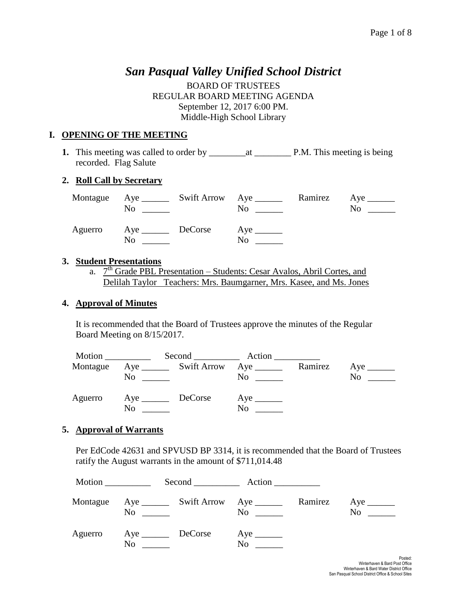# *San Pasqual Valley Unified School District*

BOARD OF TRUSTEES REGULAR BOARD MEETING AGENDA September 12, 2017 6:00 PM. Middle-High School Library

## **I. OPENING OF THE MEETING**

**1.** This meeting was called to order by \_\_\_\_\_\_\_\_at \_\_\_\_\_\_\_\_ P.M. This meeting is being recorded. Flag Salute

### **2. Roll Call by Secretary**

| No                        | Montague Aye ________ Swift Arrow Aye _______ | No | Ramirez Aye ________<br>No |
|---------------------------|-----------------------------------------------|----|----------------------------|
| Aguerro Aye DeCorse<br>No |                                               | No |                            |

#### **3. Student Presentations**

a.  $7<sup>th</sup>$  Grade PBL Presentation – Students: Cesar Avalos, Abril Cortes, and Delilah Taylor Teachers: Mrs. Baumgarner, Mrs. Kasee, and Ms. Jones

#### **4. Approval of Minutes**

It is recommended that the Board of Trustees approve the minutes of the Regular Board Meeting on 8/15/2017.

| Motion $\qquad \qquad$ |                   |                                       | Second Action                              |         |                               |
|------------------------|-------------------|---------------------------------------|--------------------------------------------|---------|-------------------------------|
| Montague               | No                | Aye _________ Swift Arrow Aye _______ | No                                         | Ramirez | Aye $\_\_\_\_\_\_\_\_\$<br>No |
| Aguerro                | Aye DeCorse<br>No |                                       | $Aye$ <sub>_______</sub><br>N <sub>0</sub> |         |                               |

### **5. Approval of Warrants**

Per EdCode 42631 and SPVUSD BP 3314, it is recommended that the Board of Trustees ratify the August warrants in the amount of \$711,014.48

| Motion   |                |          | $Second$ $Action$ |         |           |  |
|----------|----------------|----------|-------------------|---------|-----------|--|
| Montague |                | $\rm No$ | $\rm No$          | Ramirez | $No \ \_$ |  |
| Aguerro  | N <sub>0</sub> |          | N <sub>0</sub>    |         |           |  |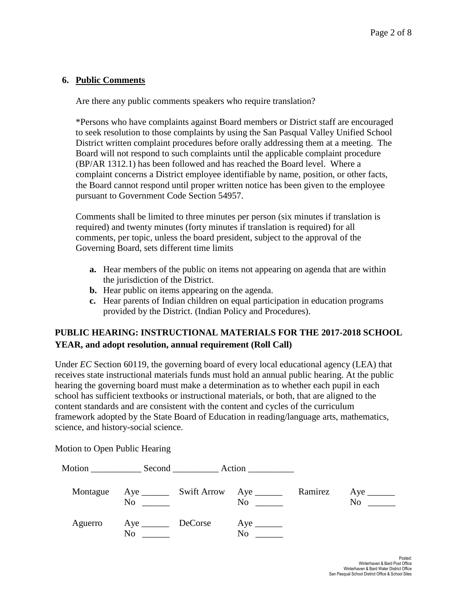#### **6. Public Comments**

Are there any public comments speakers who require translation?

\*Persons who have complaints against Board members or District staff are encouraged to seek resolution to those complaints by using the San Pasqual Valley Unified School District written complaint procedures before orally addressing them at a meeting. The Board will not respond to such complaints until the applicable complaint procedure (BP/AR 1312.1) has been followed and has reached the Board level. Where a complaint concerns a District employee identifiable by name, position, or other facts, the Board cannot respond until proper written notice has been given to the employee pursuant to Government Code Section 54957.

Comments shall be limited to three minutes per person (six minutes if translation is required) and twenty minutes (forty minutes if translation is required) for all comments, per topic, unless the board president, subject to the approval of the Governing Board, sets different time limits

- **a.** Hear members of the public on items not appearing on agenda that are within the jurisdiction of the District.
- **b.** Hear public on items appearing on the agenda.
- **c.** Hear parents of Indian children on equal participation in education programs provided by the District. (Indian Policy and Procedures).

## **PUBLIC HEARING: INSTRUCTIONAL MATERIALS FOR THE 2017-2018 SCHOOL YEAR, and adopt resolution, annual requirement (Roll Call)**

Under *EC* Section 60119, the governing board of every local educational agency (LEA) that receives state instructional materials funds must hold an annual public hearing. At the public hearing the governing board must make a determination as to whether each pupil in each school has sufficient textbooks or instructional materials, or both, that are aligned to the content standards and are consistent with the content and cycles of the curriculum framework adopted by the State Board of Education in reading/language arts, mathematics, science, and history-social science.

Motion \_\_\_\_\_\_\_\_\_\_\_\_\_\_\_ Second \_\_\_\_\_\_\_\_\_\_\_\_\_ Action \_\_\_\_\_\_\_\_\_\_\_\_\_ Montague Aye \_\_\_\_\_\_\_ Swift Arrow Aye \_\_\_\_\_\_\_ Ramirez Aye \_\_\_\_\_\_ No \_\_\_\_\_\_ No \_\_\_\_\_ No \_\_\_\_ No \_\_\_\_\_ Aguerro Aye DeCorse Aye \_\_\_\_\_\_\_ No \_\_\_\_\_\_\_ No \_\_\_\_\_

Motion to Open Public Hearing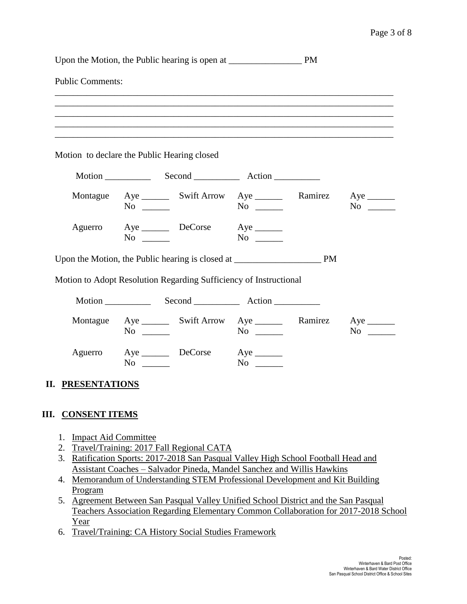#### Page 3 of 8

|                      | <b>Public Comments:</b>                                                         |           |                                      |
|----------------------|---------------------------------------------------------------------------------|-----------|--------------------------------------|
|                      | Motion to declare the Public Hearing closed                                     |           |                                      |
|                      |                                                                                 |           |                                      |
| Montague             | Aye __________ Swift Arrow Aye _____________ Ramirez Aye _________<br>$No \ \_$ | $No \ \_$ | $No \ \_$                            |
|                      | Aguerro Aye DeCorse Aye<br>$No \ \_$                                            | $No \ \_$ |                                      |
|                      |                                                                                 |           |                                      |
|                      |                                                                                 |           |                                      |
|                      | Motion to Adopt Resolution Regarding Sufficiency of Instructional               |           |                                      |
|                      |                                                                                 |           |                                      |
|                      | Montague Aye _________ Swift Arrow Aye __________ Ramirez<br>$No \ \_$          | $No \ \_$ | $Aye$ <sub>________</sub><br>$No \_$ |
|                      | Aguerro Aye DeCorse Aye<br>No $\qquad$                                          | $No \ \_$ |                                      |
| <b>PRESENTATIONS</b> |                                                                                 |           |                                      |

- 3. Ratification Sports: 2017-2018 San Pasqual Valley High School Football Head and Assistant Coaches – Salvador Pineda, Mandel Sanchez and Willis Hawkins
- 4. Memorandum of Understanding STEM Professional Development and Kit Building Program
- 5. Agreement Between San Pasqual Valley Unified School District and the San Pasqual Teachers Association Regarding Elementary Common Collaboration for 2017-2018 School Year
- 6. Travel/Training: CA History Social Studies Framework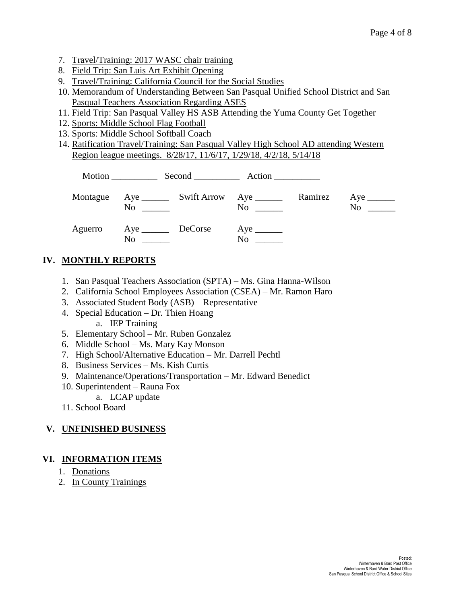- 7. Travel/Training: 2017 WASC chair training
- 8. Field Trip: San Luis Art Exhibit Opening
- 9. Travel/Training: California Council for the Social Studies
- 10. Memorandum of Understanding Between San Pasqual Unified School District and San Pasqual Teachers Association Regarding ASES
- 11. Field Trip: San Pasqual Valley HS ASB Attending the Yuma County Get Together
- 12. Sports: Middle School Flag Football
- 13. Sports: Middle School Softball Coach
- 14. Ratification Travel/Training: San Pasqual Valley High School AD attending Western Region league meetings. 8/28/17, 11/6/17, 1/29/18, 4/2/18, 5/14/18

| Montague | No<br>and the state of the state of | $\overline{N}$ $\overline{\phantom{a}}$ | Ramirez | No |  |
|----------|-------------------------------------|-----------------------------------------|---------|----|--|
| Aguerro  | Aye <u>DeCorse</u><br>No            | No                                      |         |    |  |

## **IV. MONTHLY REPORTS**

- 1. San Pasqual Teachers Association (SPTA) Ms. Gina Hanna-Wilson
- 2. California School Employees Association (CSEA) Mr. Ramon Haro
- 3. Associated Student Body (ASB) Representative
- 4. Special Education Dr. Thien Hoang a. IEP Training
- 5. Elementary School Mr. Ruben Gonzalez
- 6. Middle School Ms. Mary Kay Monson
- 7. High School/Alternative Education Mr. Darrell Pechtl
- 8. Business Services Ms. Kish Curtis
- 9. Maintenance/Operations/Transportation Mr. Edward Benedict
- 10. Superintendent Rauna Fox
	- a. LCAP update
- 11. School Board

## **V. UNFINISHED BUSINESS**

## **VI. INFORMATION ITEMS**

- 1. Donations
- 2. In County Trainings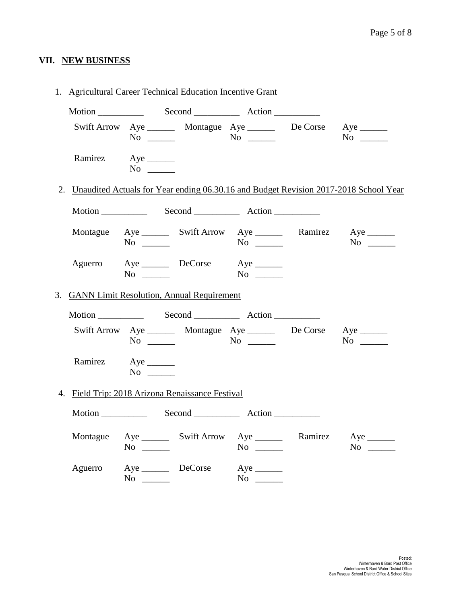# **VII. NEW BUSINESS**

| 1. Agricultural Career Technical Education Incentive Grant |           |                                                                                     |             |  |                                                                                         |  |
|------------------------------------------------------------|-----------|-------------------------------------------------------------------------------------|-------------|--|-----------------------------------------------------------------------------------------|--|
|                                                            |           | Motion Second Action                                                                |             |  |                                                                                         |  |
|                                                            | $No \_$   | Swift Arrow Aye _________ Montague Aye _________ De Corse Aye _______               |             |  | $No \_$                                                                                 |  |
| Ramirez Aye                                                | $No \ \_$ |                                                                                     |             |  |                                                                                         |  |
|                                                            |           |                                                                                     |             |  | 2. Unaudited Actuals for Year ending 06.30.16 and Budget Revision 2017-2018 School Year |  |
|                                                            |           |                                                                                     |             |  |                                                                                         |  |
|                                                            | $No \_$   | Montague Aye ________ Swift Arrow Aye _________ Ramirez Aye _______                 |             |  | $No \_$                                                                                 |  |
| Aguerro                                                    | $No \ \_$ | Aye DeCorse Aye ________                                                            |             |  |                                                                                         |  |
|                                                            |           | 3. GANN Limit Resolution, Annual Requirement                                        |             |  |                                                                                         |  |
|                                                            |           | Motion Second Action                                                                |             |  |                                                                                         |  |
|                                                            |           | Swift Arrow Aye _________ Montague Aye _________ De Corse Aye _______<br>$No \t No$ |             |  | $No \_$                                                                                 |  |
| Ramirez Aye                                                | $No \ \_$ |                                                                                     |             |  |                                                                                         |  |
|                                                            |           | 4. Field Trip: 2018 Arizona Renaissance Festival                                    |             |  |                                                                                         |  |
|                                                            |           |                                                                                     |             |  |                                                                                         |  |
|                                                            | $No \ \_$ | Montague Aye ________ Swift Arrow Aye ________ Ramirez Aye _______                  | $No \ \_$   |  | $No \ \_$                                                                               |  |
|                                                            |           | Aguerro Aye DeCorse Aye<br>$No \ \_$                                                | No $\qquad$ |  |                                                                                         |  |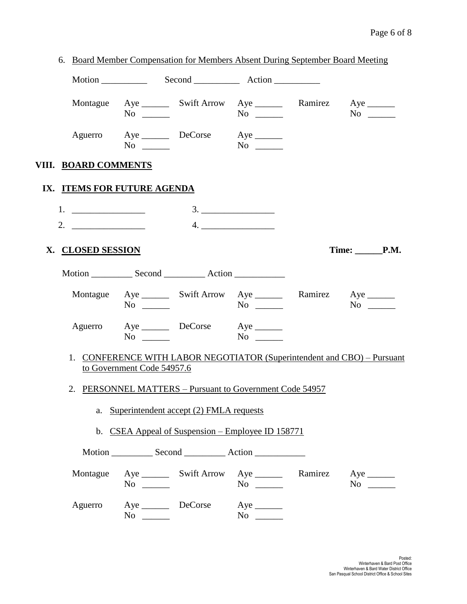|                      |                                                                         |                                            | 6. Board Member Compensation for Members Absent During September Board Meeting         |                                                                         |
|----------------------|-------------------------------------------------------------------------|--------------------------------------------|----------------------------------------------------------------------------------------|-------------------------------------------------------------------------|
|                      |                                                                         |                                            |                                                                                        |                                                                         |
|                      | $No \_$                                                                 |                                            | Montague Aye ________ Swift Arrow Aye ________ Ramirez Aye _______                     |                                                                         |
|                      | $No \_$                                                                 | Aguerro Aye DeCorse Aye ________           |                                                                                        |                                                                         |
| VIII. BOARD COMMENTS |                                                                         |                                            |                                                                                        |                                                                         |
|                      | IX. ITEMS FOR FUTURE AGENDA                                             |                                            |                                                                                        |                                                                         |
|                      |                                                                         |                                            |                                                                                        |                                                                         |
| 2. $\qquad \qquad$   |                                                                         |                                            | $\begin{array}{c} \n4. \quad \textcolor{blue}{\overbrace{\text{2.22}}}\n \end{array}$  |                                                                         |
| X. CLOSED SESSION    |                                                                         |                                            |                                                                                        | Time: _________P.M.                                                     |
|                      |                                                                         |                                            |                                                                                        |                                                                         |
|                      | $No \ \_$                                                               |                                            | Montague Aye ________ Swift Arrow Aye _________ Ramirez Aye ________                   |                                                                         |
|                      | $No \ \_$                                                               | Aguerro Aye DeCorse Aye                    |                                                                                        |                                                                         |
|                      | to Government Code 54957.6                                              |                                            |                                                                                        | 1. CONFERENCE WITH LABOR NEGOTIATOR (Superintendent and CBO) - Pursuant |
|                      |                                                                         |                                            | 2. PERSONNEL MATTERS - Pursuant to Government Code 54957                               |                                                                         |
|                      |                                                                         | a. Superintendent accept (2) FMLA requests |                                                                                        |                                                                         |
|                      |                                                                         |                                            | b. CSEA Appeal of Suspension – Employee ID 158771                                      |                                                                         |
|                      |                                                                         |                                            |                                                                                        |                                                                         |
|                      | $No \_$                                                                 |                                            | Montague Aye ________ Swift Arrow Aye ________ Ramirez Aye _______<br>$\overline{N_0}$ | $No \ \_$                                                               |
| Aguerro              | $Aye$ <sub>_______</sub><br>$\overline{N}$ o $\overline{\phantom{nnn}}$ | DeCorse                                    | $Aye$ <sub>______</sub><br>$No \t —$                                                   |                                                                         |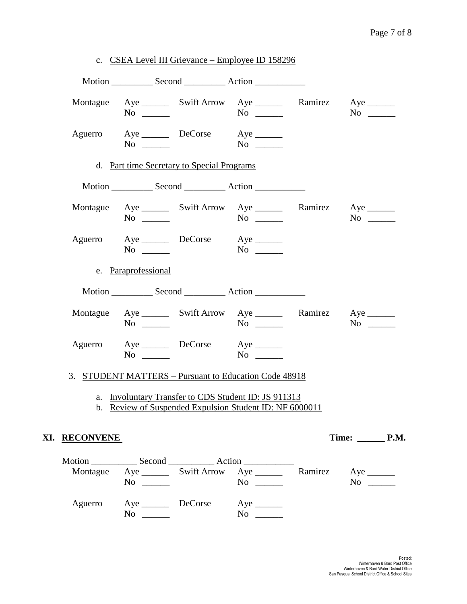|               |                     |                                            | c. CSEA Level III Grievance – Employee ID 158296                                                                |           |  |
|---------------|---------------------|--------------------------------------------|-----------------------------------------------------------------------------------------------------------------|-----------|--|
|               |                     |                                            |                                                                                                                 |           |  |
|               | $No \ \_$           |                                            | Montague Aye ________ Swift Arrow Aye ________ Ramirez Aye _______<br>$No \ \_$                                 | $No \_$   |  |
|               | $No \ \_$           | Aguerro Aye DeCorse Aye                    | $No \t —$                                                                                                       |           |  |
|               |                     | d. Part time Secretary to Special Programs |                                                                                                                 |           |  |
|               |                     |                                            |                                                                                                                 |           |  |
|               | $No \ \_$           |                                            | Montague Aye ________ Swift Arrow Aye _________ Ramirez Aye _______<br>$No \ \_$                                | $No \ \_$ |  |
|               | $No \_$             | Aguerro Aye DeCorse Aye                    | $No \_$                                                                                                         |           |  |
|               | e. Paraprofessional |                                            |                                                                                                                 |           |  |
|               |                     |                                            |                                                                                                                 |           |  |
|               | $No \ \_$           |                                            | Montague Aye ________ Swift Arrow Aye _________ Ramirez Aye _______<br>$No \ \_$                                | $No \ \_$ |  |
|               | $No \ \_$           | Aguerro Aye DeCorse Aye                    | $No \ \_$                                                                                                       |           |  |
|               |                     |                                            | 3. STUDENT MATTERS – Pursuant to Education Code 48918                                                           |           |  |
|               |                     |                                            | a. Involuntary Transfer to CDS Student ID: JS 911313<br>b. Review of Suspended Expulsion Student ID: NF 6000011 |           |  |
| XI. RECONVENE |                     |                                            |                                                                                                                 |           |  |
|               | $No \ \_$           |                                            | Montague Aye ________ Swift Arrow Aye ________ Ramirez Aye _______<br>$No \ \_$                                 | $No \_$   |  |
|               |                     |                                            | Aguerro Aye DeCorse Aye ________                                                                                |           |  |

No \_\_\_\_\_\_ No \_\_\_\_\_\_